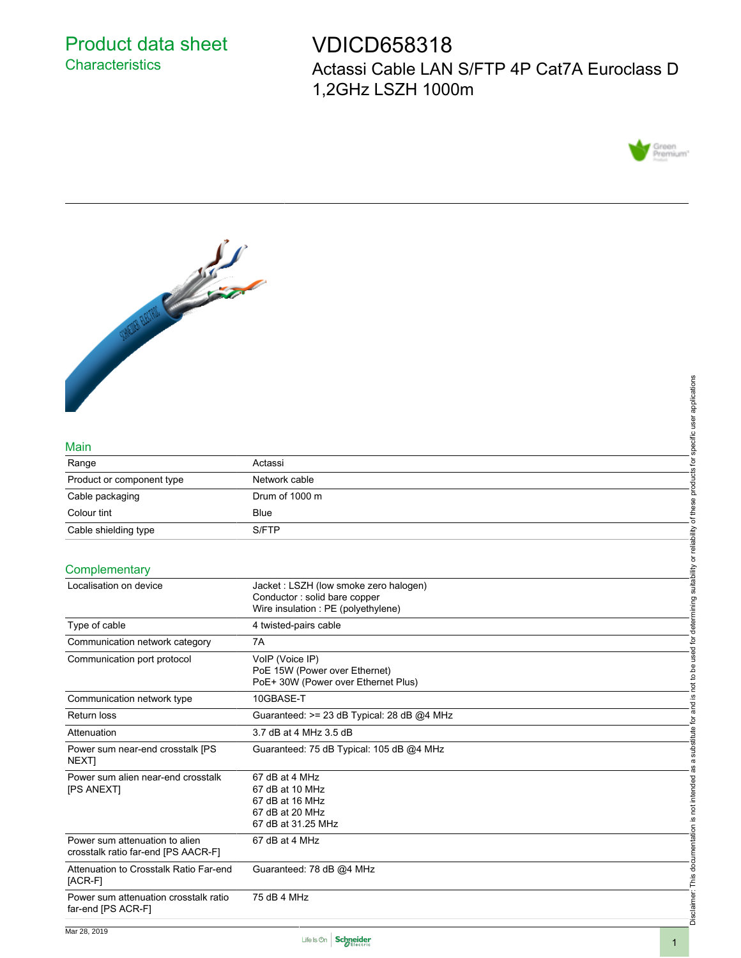## Product data sheet **Characteristics**

# VDICD658318 Actassi Cable LAN S/FTP 4P Cat7A Euroclass D 1,2GHz LSZH 1000m





#### Main

|                                                                       |                                                                      | applications                                              |
|-----------------------------------------------------------------------|----------------------------------------------------------------------|-----------------------------------------------------------|
|                                                                       |                                                                      |                                                           |
|                                                                       |                                                                      | specific user                                             |
| Main                                                                  |                                                                      |                                                           |
| Range                                                                 | Actassi                                                              | ʻ⁄¤                                                       |
| Product or component type                                             | Network cable                                                        | products                                                  |
| Cable packaging                                                       | Drum of 1000 m                                                       |                                                           |
| Colour tint                                                           | <b>Blue</b>                                                          | of these                                                  |
| Cable shielding type                                                  | S/FTP                                                                |                                                           |
|                                                                       |                                                                      |                                                           |
| Complementary                                                         |                                                                      | not to be used for determining suitability or reliability |
| Localisation on device                                                | Jacket: LSZH (low smoke zero halogen)                                |                                                           |
|                                                                       | Conductor: solid bare copper                                         |                                                           |
|                                                                       | Wire insulation : PE (polyethylene)                                  |                                                           |
| Type of cable                                                         | 4 twisted-pairs cable                                                |                                                           |
| Communication network category                                        | 7A                                                                   |                                                           |
| Communication port protocol                                           | VolP (Voice IP)                                                      |                                                           |
|                                                                       | PoE 15W (Power over Ethernet)<br>PoE+ 30W (Power over Ethernet Plus) |                                                           |
| Communication network type                                            | 10GBASE-T                                                            | <u>.ഗ</u>                                                 |
| <b>Return loss</b>                                                    | Guaranteed: >= 23 dB Typical: 28 dB @4 MHz                           | and                                                       |
| Attenuation                                                           | 3.7 dB at 4 MHz 3.5 dB                                               | ğ,                                                        |
| Power sum near-end crosstalk [PS                                      | Guaranteed: 75 dB Typical: 105 dB @4 MHz                             | substitute                                                |
| NEXT]                                                                 |                                                                      | $\varpi$                                                  |
| Power sum alien near-end crosstalk                                    | 67 dB at 4 MHz                                                       |                                                           |
| [PS ANEXT]                                                            | 67 dB at 10 MHz<br>67 dB at 16 MHz                                   | not intended                                              |
|                                                                       | 67 dB at 20 MHz                                                      |                                                           |
|                                                                       | 67 dB at 31.25 MHz                                                   | <u>ِي</u>                                                 |
| Power sum attenuation to alien<br>crosstalk ratio far-end [PS AACR-F] | 67 dB at 4 MHz                                                       |                                                           |
| Attenuation to Crosstalk Ratio Far-end<br>[ACR-F]                     | Guaranteed: 78 dB @4 MHz                                             |                                                           |
| Power sum attenuation crosstalk ratio<br>far-end [PS ACR-F]           | 75 dB 4 MHz                                                          | Disclaimer: This documentation                            |
|                                                                       |                                                                      |                                                           |



Disclaimer: This documentation is not intended as a substitute for and is not to be used for determining suitability or reliability of these products for specific user applications